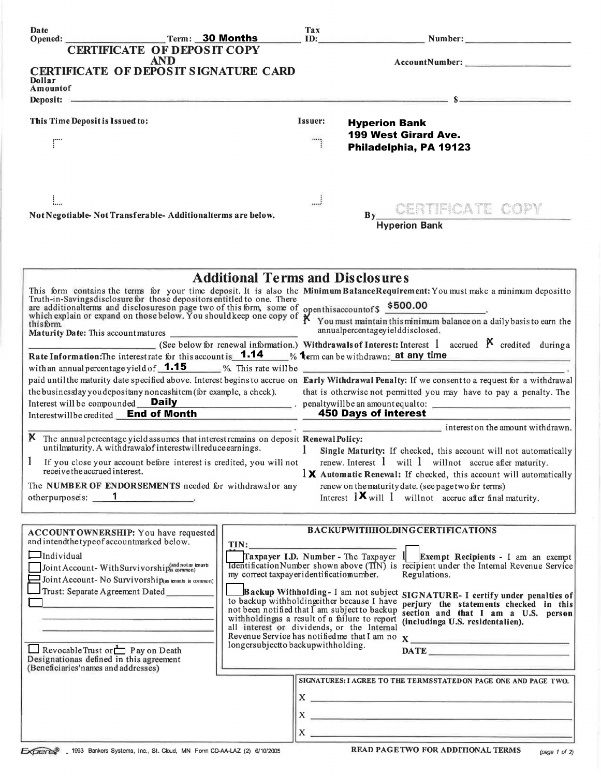| <b>Date</b><br>Term: 30 Months<br>Opened:                                                                                                             |                                                                                                                                                                   | Tax<br>ID:                                                                                                                                                                                                                           | Number:                                                                                                                                                                                                                                                                                                                                                                                                                                                                                                  |  |
|-------------------------------------------------------------------------------------------------------------------------------------------------------|-------------------------------------------------------------------------------------------------------------------------------------------------------------------|--------------------------------------------------------------------------------------------------------------------------------------------------------------------------------------------------------------------------------------|----------------------------------------------------------------------------------------------------------------------------------------------------------------------------------------------------------------------------------------------------------------------------------------------------------------------------------------------------------------------------------------------------------------------------------------------------------------------------------------------------------|--|
| <b>CERTIFICATE OF DEPOSIT COPY</b>                                                                                                                    |                                                                                                                                                                   |                                                                                                                                                                                                                                      |                                                                                                                                                                                                                                                                                                                                                                                                                                                                                                          |  |
| <b>AND</b>                                                                                                                                            |                                                                                                                                                                   |                                                                                                                                                                                                                                      |                                                                                                                                                                                                                                                                                                                                                                                                                                                                                                          |  |
| <b>CERTIFICATE OF DEPOSIT SIGNATURE CARD</b><br>Dollar                                                                                                |                                                                                                                                                                   |                                                                                                                                                                                                                                      |                                                                                                                                                                                                                                                                                                                                                                                                                                                                                                          |  |
| Amountof                                                                                                                                              |                                                                                                                                                                   |                                                                                                                                                                                                                                      |                                                                                                                                                                                                                                                                                                                                                                                                                                                                                                          |  |
|                                                                                                                                                       |                                                                                                                                                                   |                                                                                                                                                                                                                                      | Deposit: $S$                                                                                                                                                                                                                                                                                                                                                                                                                                                                                             |  |
| This Time Deposit is Issued to:                                                                                                                       |                                                                                                                                                                   | Issuer:                                                                                                                                                                                                                              | <b>Hyperion Bank</b>                                                                                                                                                                                                                                                                                                                                                                                                                                                                                     |  |
|                                                                                                                                                       |                                                                                                                                                                   |                                                                                                                                                                                                                                      | <b>199 West Girard Ave.</b>                                                                                                                                                                                                                                                                                                                                                                                                                                                                              |  |
|                                                                                                                                                       |                                                                                                                                                                   |                                                                                                                                                                                                                                      | Philadelphia, PA 19123                                                                                                                                                                                                                                                                                                                                                                                                                                                                                   |  |
|                                                                                                                                                       |                                                                                                                                                                   |                                                                                                                                                                                                                                      |                                                                                                                                                                                                                                                                                                                                                                                                                                                                                                          |  |
|                                                                                                                                                       |                                                                                                                                                                   |                                                                                                                                                                                                                                      |                                                                                                                                                                                                                                                                                                                                                                                                                                                                                                          |  |
|                                                                                                                                                       |                                                                                                                                                                   |                                                                                                                                                                                                                                      |                                                                                                                                                                                                                                                                                                                                                                                                                                                                                                          |  |
|                                                                                                                                                       |                                                                                                                                                                   | J                                                                                                                                                                                                                                    | CENTIFICATE COP                                                                                                                                                                                                                                                                                                                                                                                                                                                                                          |  |
| Not Negotiable-Not Transferable-Additionalterms are below.                                                                                            |                                                                                                                                                                   | By<br><b>Hyperion Bank</b>                                                                                                                                                                                                           |                                                                                                                                                                                                                                                                                                                                                                                                                                                                                                          |  |
|                                                                                                                                                       |                                                                                                                                                                   |                                                                                                                                                                                                                                      |                                                                                                                                                                                                                                                                                                                                                                                                                                                                                                          |  |
|                                                                                                                                                       |                                                                                                                                                                   |                                                                                                                                                                                                                                      |                                                                                                                                                                                                                                                                                                                                                                                                                                                                                                          |  |
|                                                                                                                                                       |                                                                                                                                                                   |                                                                                                                                                                                                                                      |                                                                                                                                                                                                                                                                                                                                                                                                                                                                                                          |  |
|                                                                                                                                                       | <b>Additional Terms and Disclosures</b>                                                                                                                           |                                                                                                                                                                                                                                      |                                                                                                                                                                                                                                                                                                                                                                                                                                                                                                          |  |
|                                                                                                                                                       |                                                                                                                                                                   |                                                                                                                                                                                                                                      | This form contains the terms for your time deposit. It is also the Minimum BalanceRequirement: You must make a minimum depositto Truth-in-Savings disclosure for those depositors entitled to one. There                                                                                                                                                                                                                                                                                                 |  |
|                                                                                                                                                       |                                                                                                                                                                   |                                                                                                                                                                                                                                      |                                                                                                                                                                                                                                                                                                                                                                                                                                                                                                          |  |
|                                                                                                                                                       |                                                                                                                                                                   | and disclosures on page two of this form, some of openthis account of \$500.00<br>which explain or expand on those below. You should keep one copy of $\chi$ You must maintain this minimum balance on a daily basis to earn the thi |                                                                                                                                                                                                                                                                                                                                                                                                                                                                                                          |  |
| thisform<br>Maturity Date: This account matures                                                                                                       |                                                                                                                                                                   |                                                                                                                                                                                                                                      | annualpercentageyielddisclosed.                                                                                                                                                                                                                                                                                                                                                                                                                                                                          |  |
|                                                                                                                                                       |                                                                                                                                                                   |                                                                                                                                                                                                                                      | (See below for renewal information.) Withdrawals of Interest: Interest 1 accrued $\beta$ credited during a                                                                                                                                                                                                                                                                                                                                                                                               |  |
| <b>Rate Information:</b> The interestrate for this account is $1.14$ % $1$ erm can be withdrawn: at any time                                          |                                                                                                                                                                   |                                                                                                                                                                                                                                      |                                                                                                                                                                                                                                                                                                                                                                                                                                                                                                          |  |
| with an annual percentage yield of $1.15$ %. This rate will be                                                                                        |                                                                                                                                                                   |                                                                                                                                                                                                                                      | paid until the maturity date specified above. Interest begins to accrue on Early Withdrawal Penalty: If we consent to a request for a withdrawal                                                                                                                                                                                                                                                                                                                                                         |  |
| the business day you depositany noncashitem (for example, a check).                                                                                   |                                                                                                                                                                   |                                                                                                                                                                                                                                      | that is otherwise not permitted you may have to pay a penalty. The                                                                                                                                                                                                                                                                                                                                                                                                                                       |  |
|                                                                                                                                                       |                                                                                                                                                                   |                                                                                                                                                                                                                                      |                                                                                                                                                                                                                                                                                                                                                                                                                                                                                                          |  |
| Interest will be compounded Daily<br>Interest will be compounded Daily<br>Interest will be credited <u>End of Month</u><br>150 Days of interest       |                                                                                                                                                                   | 450 Days of interest                                                                                                                                                                                                                 |                                                                                                                                                                                                                                                                                                                                                                                                                                                                                                          |  |
|                                                                                                                                                       |                                                                                                                                                                   |                                                                                                                                                                                                                                      | $\frac{1}{1-\frac{1}{1-\frac{1}{1-\frac{1}{1-\frac{1}{1-\frac{1}{1-\frac{1}{1-\frac{1}{1-\frac{1}{1-\frac{1}{1-\frac{1}{1-\frac{1}{1-\frac{1}{1-\frac{1}{1-\frac{1}{1-\frac{1}{1-\frac{1}{1-\frac{1}{1-\frac{1}{1-\frac{1}{1-\frac{1}{1-\frac{1}{1-\frac{1}{1-\frac{1}{1-\frac{1}{1-\frac{1}{1-\frac{1}{1-\frac{1}{1-\frac{1}{1-\frac{1}{1-\frac{1}{1-\frac{1}{1-\frac{1}{1-\frac{1}{1-\frac{1}{1-\frac{1}{1-\frac{1$                                                                                    |  |
| K The annual percentage yield assumes that interest remains on deposit Renewal Policy:<br>untilmaturity. A withdrawalof interestwill reduce earnings. |                                                                                                                                                                   | 1                                                                                                                                                                                                                                    |                                                                                                                                                                                                                                                                                                                                                                                                                                                                                                          |  |
| If you close your account before interest is credited, you will not                                                                                   |                                                                                                                                                                   | Single Maturity: If checked, this account will not automatically<br>renew. Interest $1$ will $1$ will not accrue after maturity.                                                                                                     |                                                                                                                                                                                                                                                                                                                                                                                                                                                                                                          |  |
| receive the accrued interest.                                                                                                                         |                                                                                                                                                                   | $\frac{1}{2}$ Automatic Renewal: If checked, this account will automatically                                                                                                                                                         |                                                                                                                                                                                                                                                                                                                                                                                                                                                                                                          |  |
| The NUMBER OF ENDORSEMENTS needed for withdrawal or any                                                                                               |                                                                                                                                                                   | renew on the maturity date. (see page two for terms)                                                                                                                                                                                 |                                                                                                                                                                                                                                                                                                                                                                                                                                                                                                          |  |
| otherpurposeis: 1                                                                                                                                     |                                                                                                                                                                   | Interest $1 \times$ will 1 will not accrue after final maturity.                                                                                                                                                                     |                                                                                                                                                                                                                                                                                                                                                                                                                                                                                                          |  |
|                                                                                                                                                       |                                                                                                                                                                   |                                                                                                                                                                                                                                      |                                                                                                                                                                                                                                                                                                                                                                                                                                                                                                          |  |
| ACCOUNTOWNERSHIP: You have requested                                                                                                                  |                                                                                                                                                                   |                                                                                                                                                                                                                                      | <b>BACKUPWITHHOLDINGCERTIFICATIONS</b>                                                                                                                                                                                                                                                                                                                                                                                                                                                                   |  |
| and intendthe type of accountmarked below.                                                                                                            | TIN:                                                                                                                                                              |                                                                                                                                                                                                                                      |                                                                                                                                                                                                                                                                                                                                                                                                                                                                                                          |  |
| $\Box$ Individual                                                                                                                                     |                                                                                                                                                                   |                                                                                                                                                                                                                                      | Taxpayer I.D. Number - The Taxpayer 1 Exempt Recipients - I am an exempt                                                                                                                                                                                                                                                                                                                                                                                                                                 |  |
| Joint Account-With Survivorship(and not as knants                                                                                                     | my correct taxpayer identificatiomumber.                                                                                                                          |                                                                                                                                                                                                                                      | <b>Identification Number shown above (TIN)</b> is recipient under the Internal Revenue Service<br>Regulations.                                                                                                                                                                                                                                                                                                                                                                                           |  |
| $\Box$ Joint Account- No Survivorship(as enants in common)<br>Trust: Separate Agreement Dated                                                         |                                                                                                                                                                   |                                                                                                                                                                                                                                      |                                                                                                                                                                                                                                                                                                                                                                                                                                                                                                          |  |
| <u> 1980 - Jan Barnett, fransk politiker (d. 1980)</u>                                                                                                | Backup Withholding-I am not subject SIGNATURE-I certify under penalties of<br>to backup withholding ther because I have<br>perjury the statements checked in this |                                                                                                                                                                                                                                      |                                                                                                                                                                                                                                                                                                                                                                                                                                                                                                          |  |
|                                                                                                                                                       | not been notified that I am subject to backup<br>withholdingas a result of a failure to report                                                                    |                                                                                                                                                                                                                                      | section and that I am a U.S. person                                                                                                                                                                                                                                                                                                                                                                                                                                                                      |  |
|                                                                                                                                                       | all interest or dividends, or the Internal                                                                                                                        |                                                                                                                                                                                                                                      | (includinga U.S. residentalien).                                                                                                                                                                                                                                                                                                                                                                                                                                                                         |  |
|                                                                                                                                                       | longersubjectto backupwithholding.                                                                                                                                |                                                                                                                                                                                                                                      | Revenue Service has notified me that I am no X                                                                                                                                                                                                                                                                                                                                                                                                                                                           |  |
| Revocable Trust or $\Box$ P ay on Death<br>Designationas defined in this agreement                                                                    |                                                                                                                                                                   |                                                                                                                                                                                                                                      |                                                                                                                                                                                                                                                                                                                                                                                                                                                                                                          |  |
| (Beneficiaries'names and addresses)                                                                                                                   |                                                                                                                                                                   |                                                                                                                                                                                                                                      |                                                                                                                                                                                                                                                                                                                                                                                                                                                                                                          |  |
|                                                                                                                                                       |                                                                                                                                                                   |                                                                                                                                                                                                                                      | SIGNATURES: I AGREE TO THE TERMSSTATED ON PAGE ONE AND PAGE TWO.                                                                                                                                                                                                                                                                                                                                                                                                                                         |  |
|                                                                                                                                                       |                                                                                                                                                                   |                                                                                                                                                                                                                                      | $X \sim$                                                                                                                                                                                                                                                                                                                                                                                                                                                                                                 |  |
|                                                                                                                                                       |                                                                                                                                                                   |                                                                                                                                                                                                                                      | $X \longrightarrow 0$ and $X \longrightarrow 0$ and $X \longrightarrow 0$ and $X \longrightarrow 0$ and $X \longrightarrow 0$ and $X \longrightarrow 0$ and $X \longrightarrow 0$ and $X \longrightarrow 0$ and $X \longrightarrow 0$ and $X \longrightarrow 0$ and $X \longrightarrow 0$ and $X \longrightarrow 0$ and $X \longrightarrow 0$ and $X \longrightarrow 0$ and $X \longrightarrow 0$ and $X \longrightarrow 0$ and $X \longrightarrow 0$ and $X \longrightarrow 0$ and $X \longrightarrow $ |  |
|                                                                                                                                                       |                                                                                                                                                                   |                                                                                                                                                                                                                                      | $\mathbf{X}$ $\frac{1}{2}$                                                                                                                                                                                                                                                                                                                                                                                                                                                                               |  |
|                                                                                                                                                       |                                                                                                                                                                   |                                                                                                                                                                                                                                      |                                                                                                                                                                                                                                                                                                                                                                                                                                                                                                          |  |

EXPERIS 1993 Bankers Systems, Inc., St. Cloud, MN Form CD-AA-LAZ (2) 6/10/2005